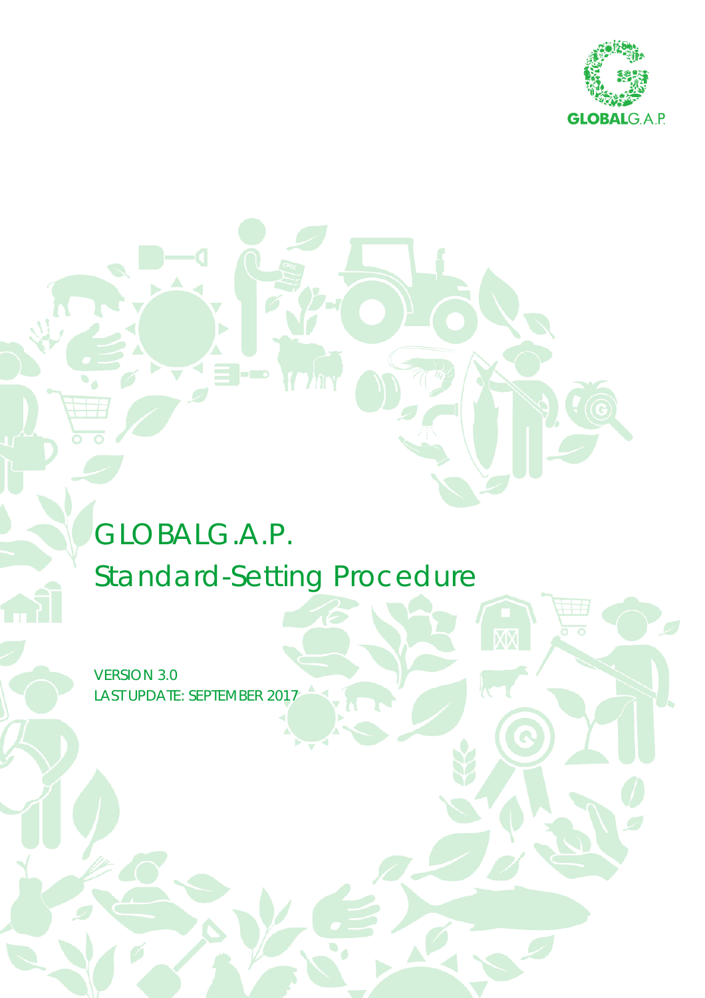

Q

# GLOBALG.A.P. Standard-Setting Procedure

VERSION 3.0 LAST UPDATE: SEPTEMBER 2017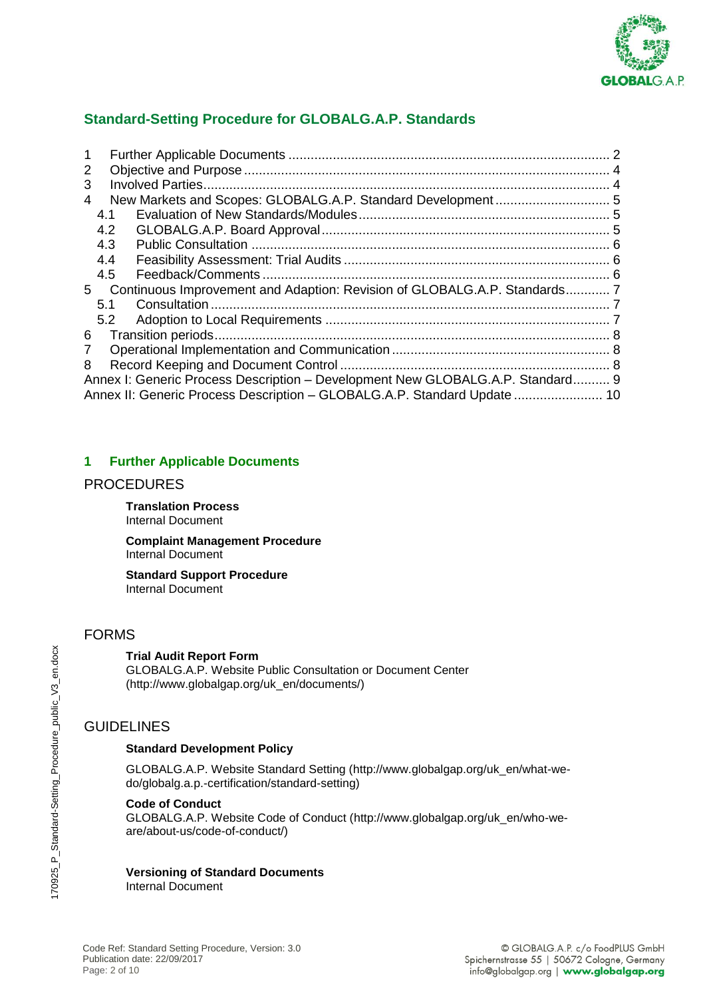

# **Standard-Setting Procedure for GLOBALG.A.P. Standards**

| 1              |                                                                                |                                                                           |  |  |
|----------------|--------------------------------------------------------------------------------|---------------------------------------------------------------------------|--|--|
| 2              |                                                                                |                                                                           |  |  |
| 3              |                                                                                |                                                                           |  |  |
| 4              |                                                                                |                                                                           |  |  |
|                | 4.1                                                                            |                                                                           |  |  |
|                | 4.2                                                                            |                                                                           |  |  |
|                | 4.3                                                                            |                                                                           |  |  |
|                | 4.4                                                                            |                                                                           |  |  |
|                | 4.5                                                                            |                                                                           |  |  |
|                |                                                                                | Continuous Improvement and Adaption: Revision of GLOBALG.A.P. Standards 7 |  |  |
| 5              |                                                                                |                                                                           |  |  |
|                | 5.1                                                                            |                                                                           |  |  |
|                | 5.2                                                                            |                                                                           |  |  |
| 6              |                                                                                |                                                                           |  |  |
| $\overline{7}$ |                                                                                |                                                                           |  |  |
| 8              |                                                                                |                                                                           |  |  |
|                | Annex I: Generic Process Description - Development New GLOBALG.A.P. Standard 9 |                                                                           |  |  |
|                | Annex II: Generic Process Description - GLOBALG.A.P. Standard Update  10       |                                                                           |  |  |

# **1 Further Applicable Documents**

#### PROCEDURES

**Translation Process** Internal Document

**Complaint Management Procedure** Internal Document

**Standard Support Procedure** Internal Document

# FORMS

#### **Trial Audit Report Form**

GLOBALG.A.P. Website Public Consultation or Document Center (http://www.globalgap.org/uk\_en/documents/)

# GUIDELINES

#### **Standard Development Policy**

GLOBALG.A.P. Website Standard Setting (http://www.globalgap.org/uk\_en/what-wedo/globalg.a.p.-certification/standard-setting)

#### **Code of Conduct**

GLOBALG.A.P. Website Code of Conduct (http://www.globalgap.org/uk\_en/who-weare/about-us/code-of-conduct/)

# **Versioning of Standard Documents**

Internal Document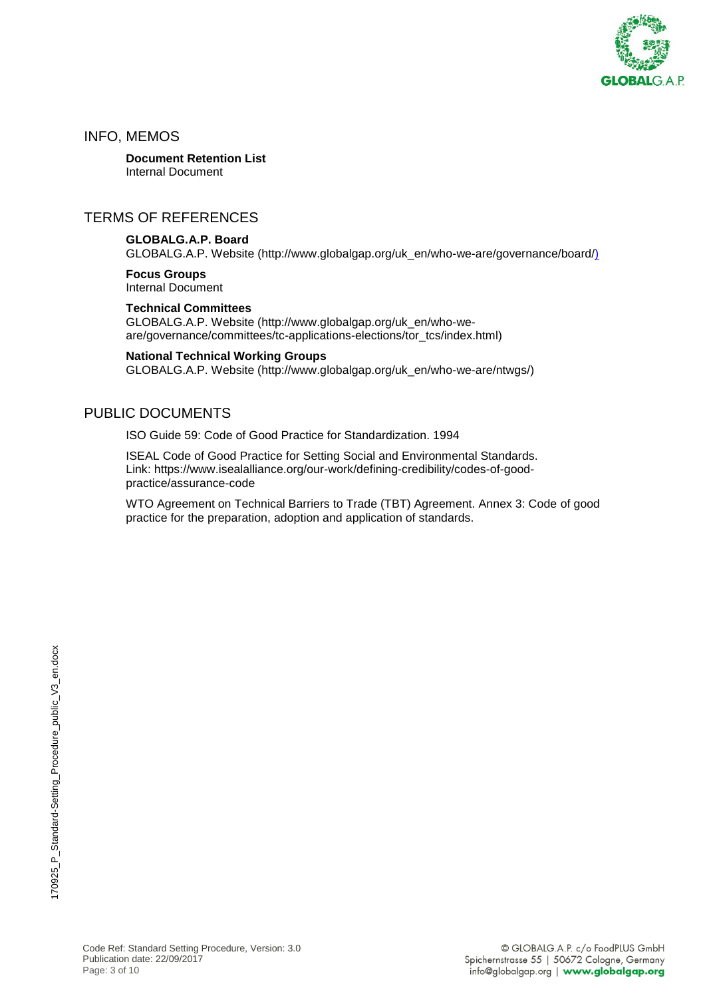

#### INFO, MEMOS

# **Document Retention List**

Internal Document

# TERMS OF REFERENCES

#### **GLOBALG.A.P. Board**

GLOBALG.A.P. Website (http://www.globalgap.org/uk\_en/who-we-are/governance/board/)

#### **Focus Groups**

Internal Document

#### **Technical Committees**

GLOBALG.A.P. Website [\(http://www.globalgap.org/uk\\_en/who-we](http://www.globalgap.org/uk_en/who-we-are/governance/committees/tc-applications-elections/tor_tcs/index.html)[are/governance/committees/tc-applications-elections/tor\\_tcs/index.html\)](http://www.globalgap.org/uk_en/who-we-are/governance/committees/tc-applications-elections/tor_tcs/index.html)

#### **National Technical Working Groups**

GLOBALG.A.P. Website (http://www.globalgap.org/uk\_en/who-we-are/ntwgs/)

# PUBLIC DOCUMENTS

ISO Guide 59: Code of Good Practice for Standardization. 1994

ISEAL Code of Good Practice for Setting Social and Environmental Standards. Link: https://www.isealalliance.org/our-work/defining-credibility/codes-of-goodpractice/assurance-code

WTO Agreement on Technical Barriers to Trade (TBT) Agreement. Annex 3: Code of good practice for the preparation, adoption and application of standards.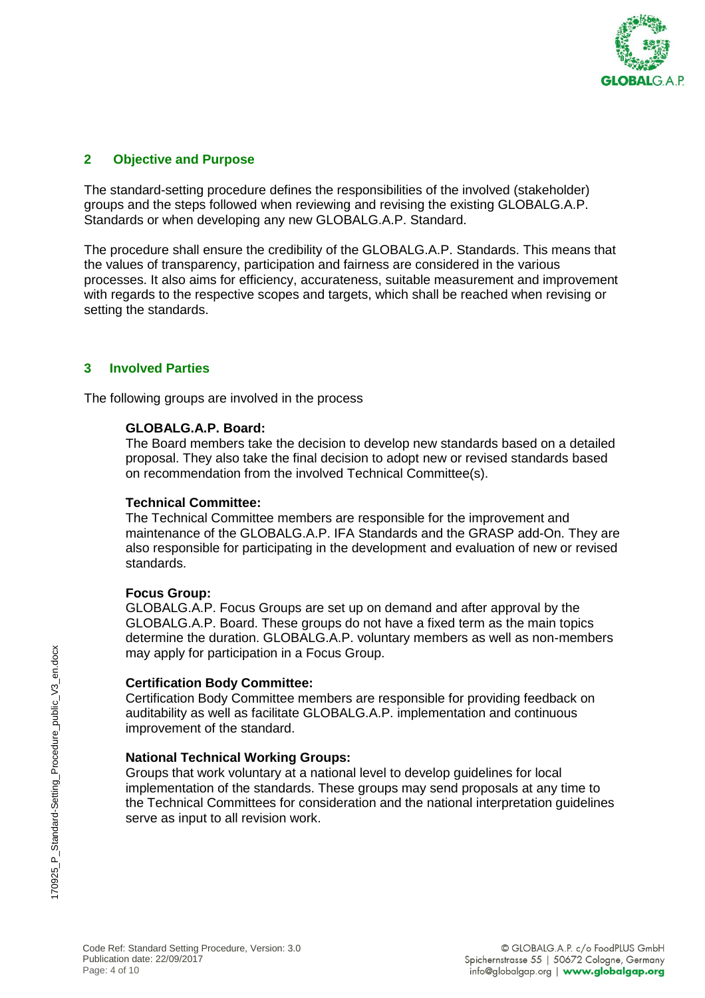

# **2 Objective and Purpose**

The standard-setting procedure defines the responsibilities of the involved (stakeholder) groups and the steps followed when reviewing and revising the existing GLOBALG.A.P. Standards or when developing any new GLOBALG.A.P. Standard.

The procedure shall ensure the credibility of the GLOBALG.A.P. Standards. This means that the values of transparency, participation and fairness are considered in the various processes. It also aims for efficiency, accurateness, suitable measurement and improvement with regards to the respective scopes and targets, which shall be reached when revising or setting the standards.

# **3 Involved Parties**

The following groups are involved in the process

#### **GLOBALG.A.P. Board:**

The Board members take the decision to develop new standards based on a detailed proposal. They also take the final decision to adopt new or revised standards based on recommendation from the involved Technical Committee(s).

#### **Technical Committee:**

The Technical Committee members are responsible for the improvement and maintenance of the GLOBALG.A.P. IFA Standards and the GRASP add-On. They are also responsible for participating in the development and evaluation of new or revised standards.

#### **Focus Group:**

GLOBALG.A.P. Focus Groups are set up on demand and after approval by the GLOBALG.A.P. Board. These groups do not have a fixed term as the main topics determine the duration. GLOBALG.A.P. voluntary members as well as non-members may apply for participation in a Focus Group.

#### **Certification Body Committee:**

Certification Body Committee members are responsible for providing feedback on auditability as well as facilitate GLOBALG.A.P. implementation and continuous improvement of the standard.

#### **National Technical Working Groups:**

Groups that work voluntary at a national level to develop guidelines for local implementation of the standards. These groups may send proposals at any time to the Technical Committees for consideration and the national interpretation guidelines serve as input to all revision work.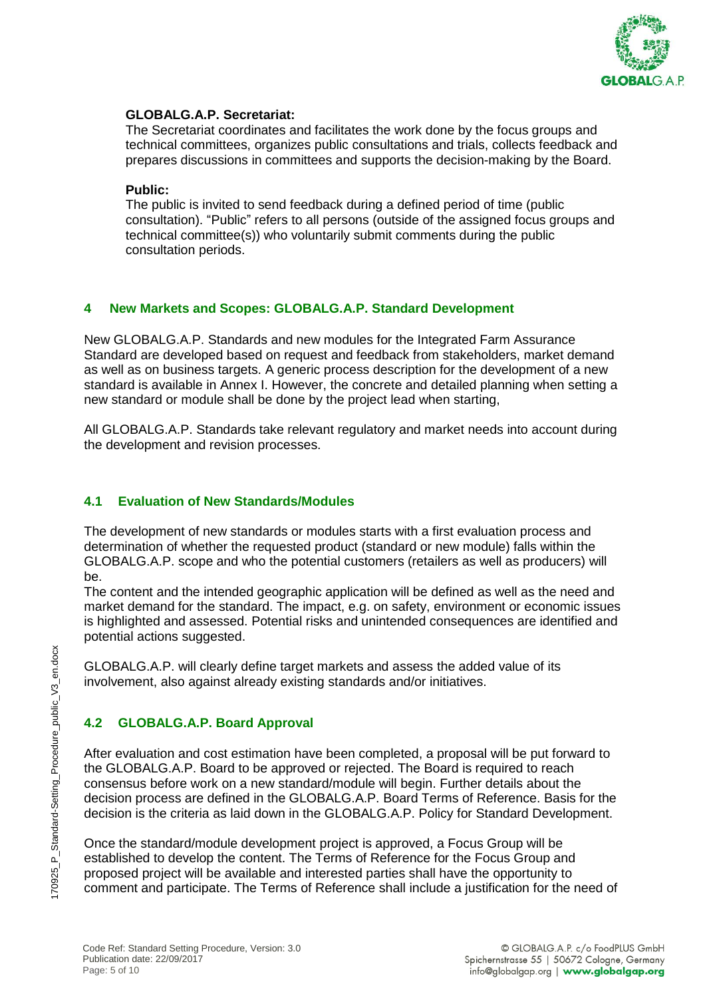

# **GLOBALG.A.P. Secretariat:**

The Secretariat coordinates and facilitates the work done by the focus groups and technical committees, organizes public consultations and trials, collects feedback and prepares discussions in committees and supports the decision-making by the Board.

### **Public:**

The public is invited to send feedback during a defined period of time (public consultation). "Public" refers to all persons (outside of the assigned focus groups and technical committee(s)) who voluntarily submit comments during the public consultation periods.

# **4 New Markets and Scopes: GLOBALG.A.P. Standard Development**

New GLOBALG.A.P. Standards and new modules for the Integrated Farm Assurance Standard are developed based on request and feedback from stakeholders, market demand as well as on business targets. A generic process description for the development of a new standard is available in Annex I. However, the concrete and detailed planning when setting a new standard or module shall be done by the project lead when starting,

All GLOBALG.A.P. Standards take relevant regulatory and market needs into account during the development and revision processes.

# **4.1 Evaluation of New Standards/Modules**

The development of new standards or modules starts with a first evaluation process and determination of whether the requested product (standard or new module) falls within the GLOBALG.A.P. scope and who the potential customers (retailers as well as producers) will be.

The content and the intended geographic application will be defined as well as the need and market demand for the standard. The impact, e.g. on safety, environment or economic issues is highlighted and assessed. Potential risks and unintended consequences are identified and potential actions suggested.

GLOBALG.A.P. will clearly define target markets and assess the added value of its involvement, also against already existing standards and/or initiatives.

# **4.2 GLOBALG.A.P. Board Approval**

After evaluation and cost estimation have been completed, a proposal will be put forward to the GLOBALG.A.P. Board to be approved or rejected. The Board is required to reach consensus before work on a new standard/module will begin. Further details about the decision process are defined in the GLOBALG.A.P. Board Terms of Reference. Basis for the decision is the criteria as laid down in the GLOBALG.A.P. Policy for Standard Development.

Once the standard/module development project is approved, a Focus Group will be established to develop the content. The Terms of Reference for the Focus Group and proposed project will be available and interested parties shall have the opportunity to comment and participate. The Terms of Reference shall include a justification for the need of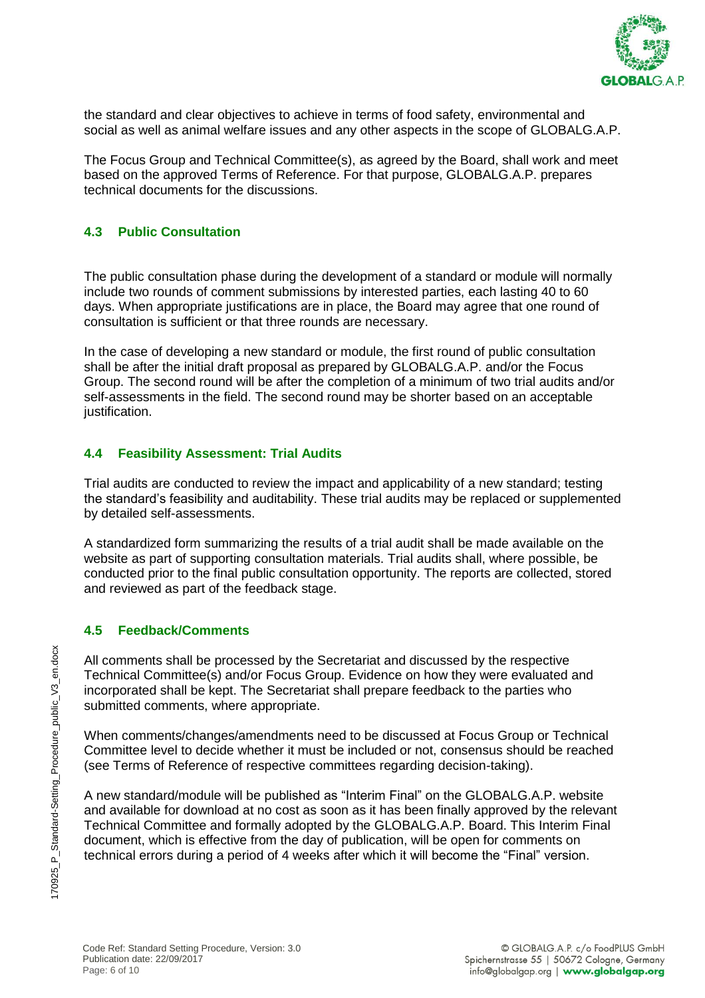

the standard and clear objectives to achieve in terms of food safety, environmental and social as well as animal welfare issues and any other aspects in the scope of GLOBALG.A.P.

The Focus Group and Technical Committee(s), as agreed by the Board, shall work and meet based on the approved Terms of Reference. For that purpose, GLOBALG.A.P. prepares technical documents for the discussions.

# **4.3 Public Consultation**

The public consultation phase during the development of a standard or module will normally include two rounds of comment submissions by interested parties, each lasting 40 to 60 days. When appropriate justifications are in place, the Board may agree that one round of consultation is sufficient or that three rounds are necessary.

In the case of developing a new standard or module, the first round of public consultation shall be after the initial draft proposal as prepared by GLOBALG.A.P. and/or the Focus Group. The second round will be after the completion of a minimum of two trial audits and/or self-assessments in the field. The second round may be shorter based on an acceptable justification.

# **4.4 Feasibility Assessment: Trial Audits**

Trial audits are conducted to review the impact and applicability of a new standard; testing the standard's feasibility and auditability. These trial audits may be replaced or supplemented by detailed self-assessments.

A standardized form summarizing the results of a trial audit shall be made available on the website as part of supporting consultation materials. Trial audits shall, where possible, be conducted prior to the final public consultation opportunity. The reports are collected, stored and reviewed as part of the feedback stage.

#### **4.5 Feedback/Comments**

All comments shall be processed by the Secretariat and discussed by the respective Technical Committee(s) and/or Focus Group. Evidence on how they were evaluated and incorporated shall be kept. The Secretariat shall prepare feedback to the parties who submitted comments, where appropriate.

When comments/changes/amendments need to be discussed at Focus Group or Technical Committee level to decide whether it must be included or not, consensus should be reached (see Terms of Reference of respective committees regarding decision-taking).

A new standard/module will be published as "Interim Final" on the GLOBALG.A.P. website and available for download at no cost as soon as it has been finally approved by the relevant Technical Committee and formally adopted by the GLOBALG.A.P. Board. This Interim Final document, which is effective from the day of publication, will be open for comments on technical errors during a period of 4 weeks after which it will become the "Final" version.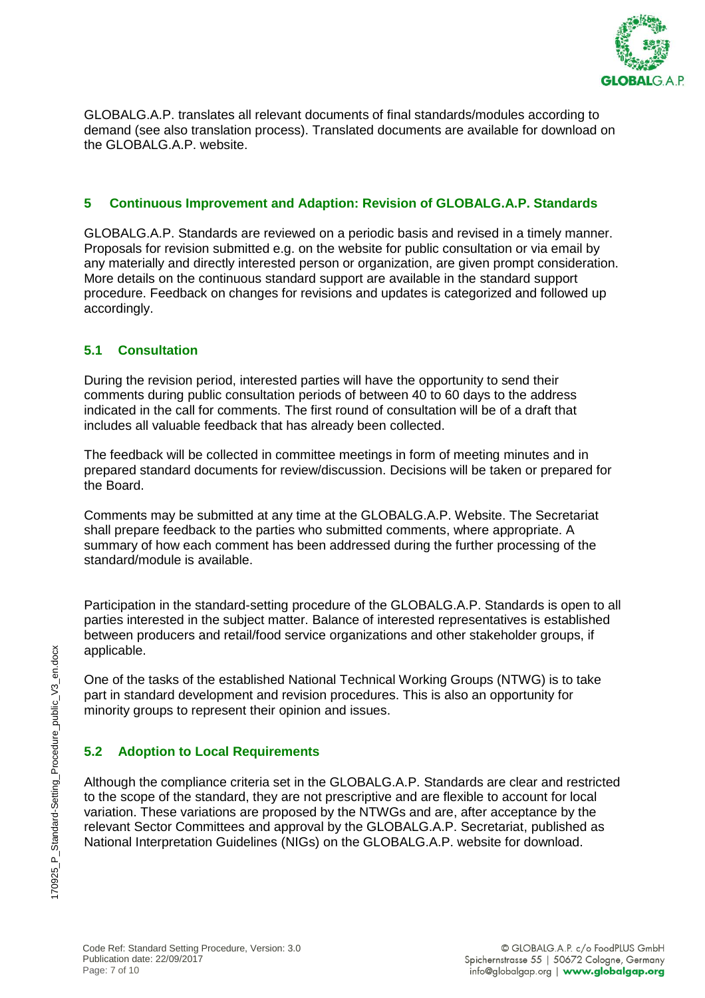

GLOBALG.A.P. translates all relevant documents of final standards/modules according to demand (see also translation process). Translated documents are available for download on the GLOBALG.A.P. website.

# **5 Continuous Improvement and Adaption: Revision of GLOBALG.A.P. Standards**

GLOBALG.A.P. Standards are reviewed on a periodic basis and revised in a timely manner. Proposals for revision submitted e.g. on the website for public consultation or via email by any materially and directly interested person or organization, are given prompt consideration. More details on the continuous standard support are available in the standard support procedure. Feedback on changes for revisions and updates is categorized and followed up accordingly.

# **5.1 Consultation**

During the revision period, interested parties will have the opportunity to send their comments during public consultation periods of between 40 to 60 days to the address indicated in the call for comments. The first round of consultation will be of a draft that includes all valuable feedback that has already been collected.

The feedback will be collected in committee meetings in form of meeting minutes and in prepared standard documents for review/discussion. Decisions will be taken or prepared for the Board.

Comments may be submitted at any time at the GLOBALG.A.P. Website. The Secretariat shall prepare feedback to the parties who submitted comments, where appropriate. A summary of how each comment has been addressed during the further processing of the standard/module is available.

Participation in the standard-setting procedure of the GLOBALG.A.P. Standards is open to all parties interested in the subject matter. Balance of interested representatives is established between producers and retail/food service organizations and other stakeholder groups, if applicable.

One of the tasks of the established National Technical Working Groups (NTWG) is to take part in standard development and revision procedures. This is also an opportunity for minority groups to represent their opinion and issues.

# **5.2 Adoption to Local Requirements**

Although the compliance criteria set in the GLOBALG.A.P. Standards are clear and restricted to the scope of the standard, they are not prescriptive and are flexible to account for local variation. These variations are proposed by the NTWGs and are, after acceptance by the relevant Sector Committees and approval by the GLOBALG.A.P. Secretariat, published as National Interpretation Guidelines (NIGs) on the GLOBALG.A.P. website for download.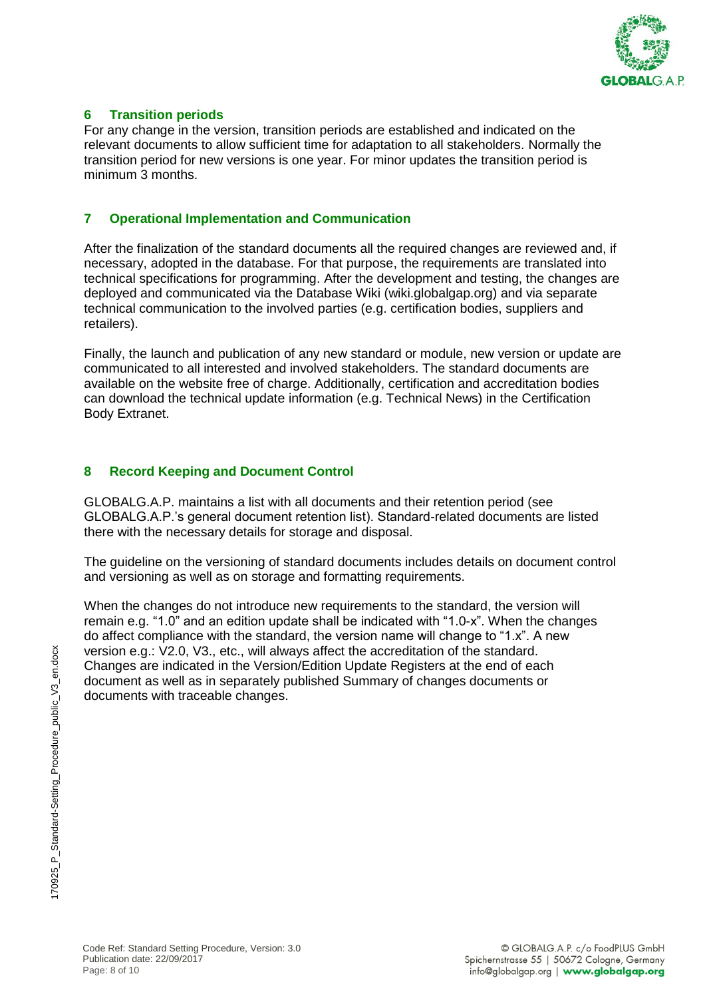

# **6 Transition periods**

For any change in the version, transition periods are established and indicated on the relevant documents to allow sufficient time for adaptation to all stakeholders. Normally the transition period for new versions is one year. For minor updates the transition period is minimum 3 months.

# **7 Operational Implementation and Communication**

After the finalization of the standard documents all the required changes are reviewed and, if necessary, adopted in the database. For that purpose, the requirements are translated into technical specifications for programming. After the development and testing, the changes are deployed and communicated via the Database Wiki (wiki.globalgap.org) and via separate technical communication to the involved parties (e.g. certification bodies, suppliers and retailers).

Finally, the launch and publication of any new standard or module, new version or update are communicated to all interested and involved stakeholders. The standard documents are available on the website free of charge. Additionally, certification and accreditation bodies can download the technical update information (e.g. Technical News) in the Certification Body Extranet.

# **8 Record Keeping and Document Control**

GLOBALG.A.P. maintains a list with all documents and their retention period (see GLOBALG.A.P.'s general document retention list). Standard-related documents are listed there with the necessary details for storage and disposal.

The guideline on the versioning of standard documents includes details on document control and versioning as well as on storage and formatting requirements.

When the changes do not introduce new requirements to the standard, the version will remain e.g. "1.0" and an edition update shall be indicated with "1.0-x". When the changes do affect compliance with the standard, the version name will change to "1.x". A new version e.g.: V2.0, V3., etc., will always affect the accreditation of the standard. Changes are indicated in the Version/Edition Update Registers at the end of each document as well as in separately published Summary of changes documents or documents with traceable changes.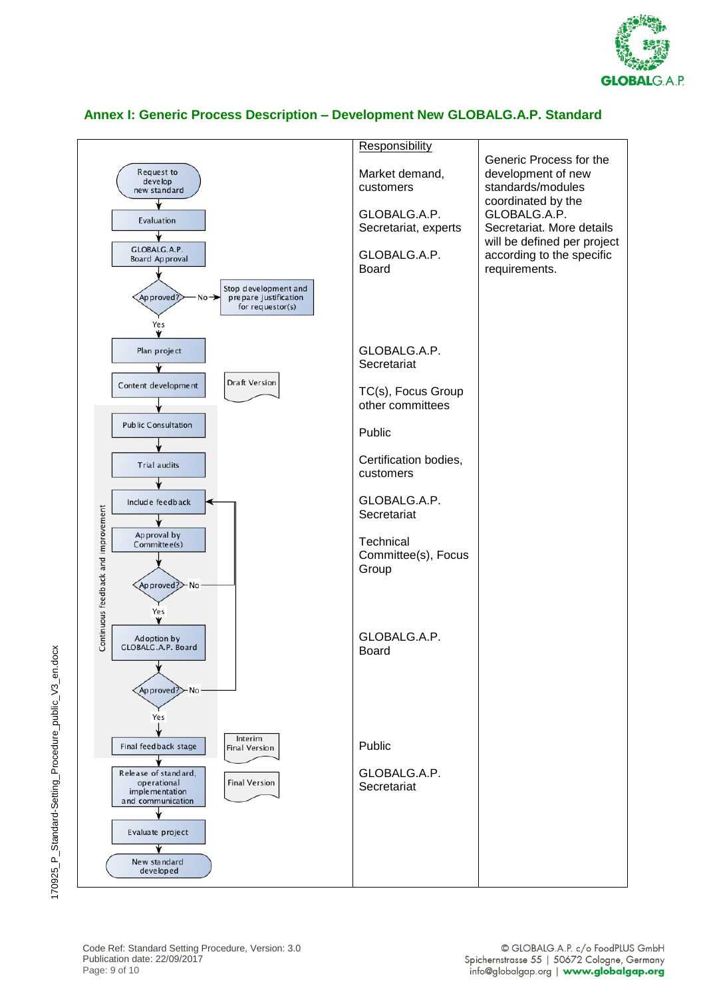



# **Annex I: Generic Process Description – Development New GLOBALG.A.P. Standard**